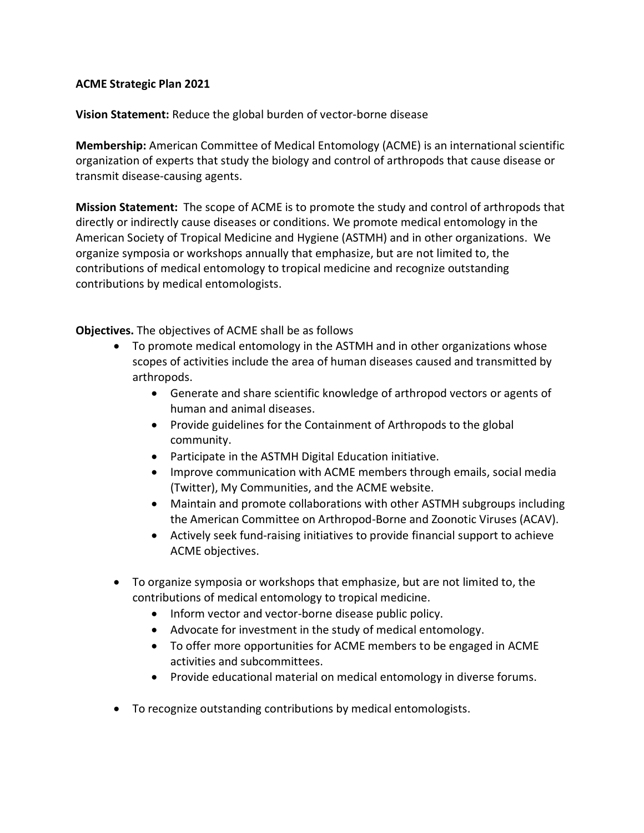## **ACME Strategic Plan 2021**

**Vision Statement:** Reduce the global burden of vector-borne disease

**Membership:** American Committee of Medical Entomology (ACME) is an international scientific organization of experts that study the biology and control of arthropods that cause disease or transmit disease-causing agents.

**Mission Statement:** The scope of ACME is to promote the study and control of arthropods that directly or indirectly cause diseases or conditions. We promote medical entomology in the American Society of Tropical Medicine and Hygiene (ASTMH) and in other organizations. We organize symposia or workshops annually that emphasize, but are not limited to, the contributions of medical entomology to tropical medicine and recognize outstanding contributions by medical entomologists.

**Objectives.** The objectives of ACME shall be as follows

- To promote medical entomology in the ASTMH and in other organizations whose scopes of activities include the area of human diseases caused and transmitted by arthropods.
	- Generate and share scientific knowledge of arthropod vectors or agents of human and animal diseases.
	- Provide guidelines for the Containment of Arthropods to the global community.
	- Participate in the ASTMH Digital Education initiative.
	- Improve communication with ACME members through emails, social media (Twitter), My Communities, and the ACME website.
	- Maintain and promote collaborations with other ASTMH subgroups including the American Committee on Arthropod-Borne and Zoonotic Viruses (ACAV).
	- Actively seek fund-raising initiatives to provide financial support to achieve ACME objectives.
- To organize symposia or workshops that emphasize, but are not limited to, the contributions of medical entomology to tropical medicine.
	- Inform vector and vector-borne disease public policy.
	- Advocate for investment in the study of medical entomology.
	- To offer more opportunities for ACME members to be engaged in ACME activities and subcommittees.
	- Provide educational material on medical entomology in diverse forums.
- To recognize outstanding contributions by medical entomologists.